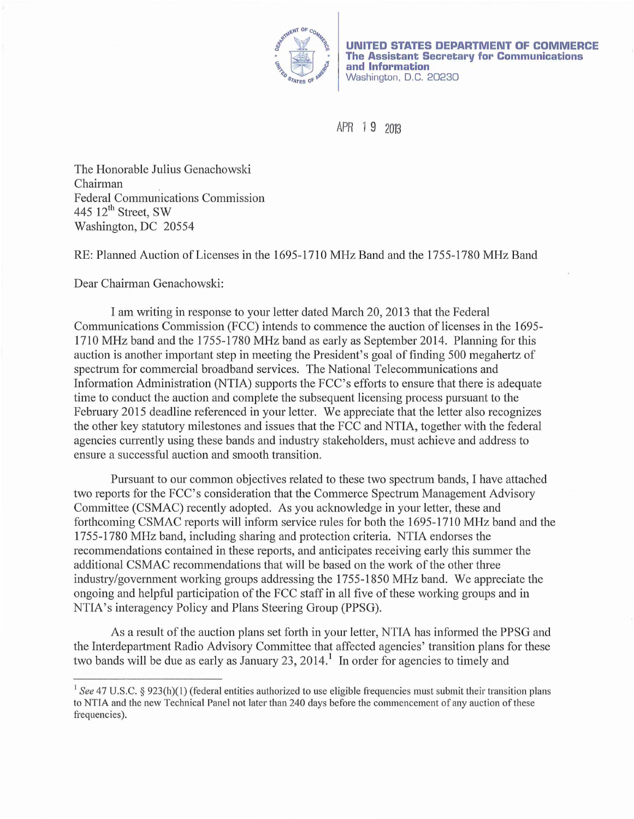

**UNITED STATES DEPARTMENT OF COMMERCE The Assistant Secretary for Communications and Information**  Washington, D.C. 20230

APR 1 9 <sup>2013</sup>

The Honorable Julius Genachowski Chairman Federal Communications Commission 445  $12^{th}$  Street, SW Washington, DC 20554

RE: Planned Auction of Licenses in the 1695-1710 MHz Band and the 1755-1780 MHz Band

Dear Chairman Genachowski:

I am writing in response to your letter dated March 20, 2013 that the Federal Communications Commission (FCC) intends to commence the auction of licenses in the 1695- 1710 MHz band and the 1755-1780 MHz band as early as September 2014. Planning for this auction is another important step in meeting the President's goal of finding 500 megahertz of spectrum for commercial broadband services. The National Telecommunications and Information Administration (NTIA) supports the FCC's efforts to ensure that there is adequate time to conduct the auction and complete the subsequent licensing process pursuant to the February 2015 deadline referenced in your letter. We appreciate that the letter also recognizes the other key statutory milestones and issues that the FCC and NTIA, together with the federal agencies currently using these bands and industry stakeholders, must achieve and address to ensure a successful auction and smooth transition.

Pursuant to our common objectives related to these two spectrum bands, I have attached two reports for the FCC's consideration that the Commerce Spectrum Management Advisory Committee (CSMAC) recently adopted. As you acknowledge in your letter, these and forthcoming CSMAC reports will inform service rules for both the 1695-1710 MHz band and the 1755-1780 MHz band, including sharing and protection criteria. NTIA endorses the recommendations contained in these reports, and anticipates receiving early this summer the additional CSMAC recommendations that will be based on the work of the other three industry/government working groups addressing the 1755-1850 MHz band. We appreciate the ongoing and helpful participation of the FCC staff in all five of these working groups and in NTIA's interagency Policy and Plans Steering Group (PPSG).

As a result of the auction plans set forth in your letter, NTIA has informed the PPSG and the Interdepartment Radio Advisory Committee that affected agencies' transition plans for these two bands will be due as early as January 23, 2014.<sup>1</sup> In order for agencies to timely and

<sup>&</sup>lt;sup>1</sup> See 47 U.S.C. § 923(h)(1) (federal entities authorized to use eligible frequencies must submit their transition plans to NTIA and the new Technical Panel not later than 240 days before the commencement of any auction of these frequencies).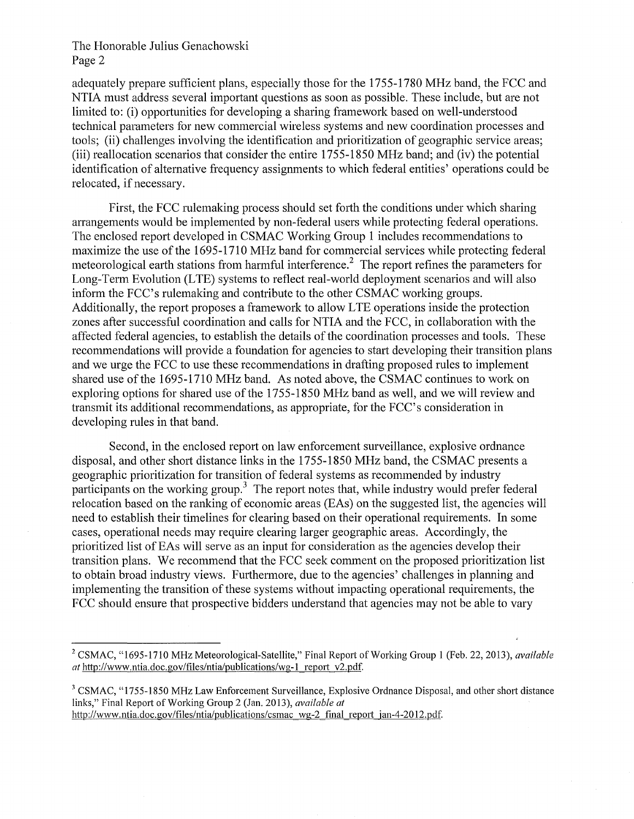The Honorable Julius Genachowski Page 2

adequately prepare sufficient plans, especially those for the 1755-1780 MHz band, the FCC and NTIA must address several important questions as soon as possible. These include, but are not limited to: (i) opportunities for developing a sharing framework based on well-understood technical parameters for new commercial wireless systems and new coordination processes and tools; (ii) challenges involving the identification and prioritization of geographic service areas; (iii) reallocation scenarios that consider the entire 1755-1850 MHz band; and (iv) the potential identification of alternative frequency assignments to which federal entities' operations could be relocated, if necessary.

First, the FCC rulemaking process should set forth the conditions under which sharing anangements would be implemented by non-federal users while protecting federal operations. The enclosed report developed in CSMAC Working Group 1 includes recommendations to maximize the use of the 1695-1710 MHz band for commercial services while protecting federal meteorological earth stations from harmful interference.<sup>2</sup> The report refines the parameters for Long-Term Evolution (LTE) systems to reflect real-world deployment scenarios and will also inform the FCC's rulemaking and contribute to the other CSMAC working groups. Additionally, the report proposes a framework to allow LTE operations inside the protection zones after successful coordination and calls for NTIA and the FCC, in collaboration with the affected federal agencies, to establish the details of the coordination processes and tools. These recommendations will provide a foundation for agencies to start developing their transition plans and we urge the FCC to use these recommendations in drafting proposed rules to implement shared use of the 1695-1710 MHz band. As noted above, the CSMAC continues to work on exploring options for shared use of the 1755-1850 MHz band as well, and we will review and transmit its additional recommendations, as appropriate, for the FCC's consideration in developing rules in that band.

Second, in the enclosed report on law enforcement surveillance, explosive ordnance disposal, and other short distance links in the 1755-1850 MHz band, the CSMAC presents a geographic prioritization for transition of federal systems as recommended by industry participants on the working group.<sup>3</sup> The report notes that, while industry would prefer federal relocation based on the ranking of economic areas (EAs) on the suggested list, the agencies will need to establish their timelines for clearing based on their operational requirements. In some cases, operational needs may require clearing larger geographic areas. Accordingly, the prioritized list of EAs will serve as an input for consideration as the agencies develop their transition plans. We recommend that the FCC seek comment on the proposed prioritization list to obtain broad industry views. Furthermore, due to the agencies' challenges in planning and implementing the transition of these systems without impacting operational requirements, the FCC should ensure that prospective bidders understand that agencies may not be able to vary

<sup>&</sup>lt;sup>2</sup> CSMAC, "1695-1710 MHz Meteorological-Satellite," Final Report of Working Group 1 (Feb. 22, 2013), *available at* http://www.ntia.doc.gov/files/ntia/publications/wg-1 report v2.pdf.

<sup>&</sup>lt;sup>3</sup> CSMAC, "1755-1850 MHz Law Enforcement Surveillance, Explosive Ordnance Disposal, and other short distance links," Final Report of Working Group 2 (Jan. 2013), *available at*  http://www.ntia.doc.gov/files/ntia/publications/csmac wg-2 final report jan-4-2012.pdf.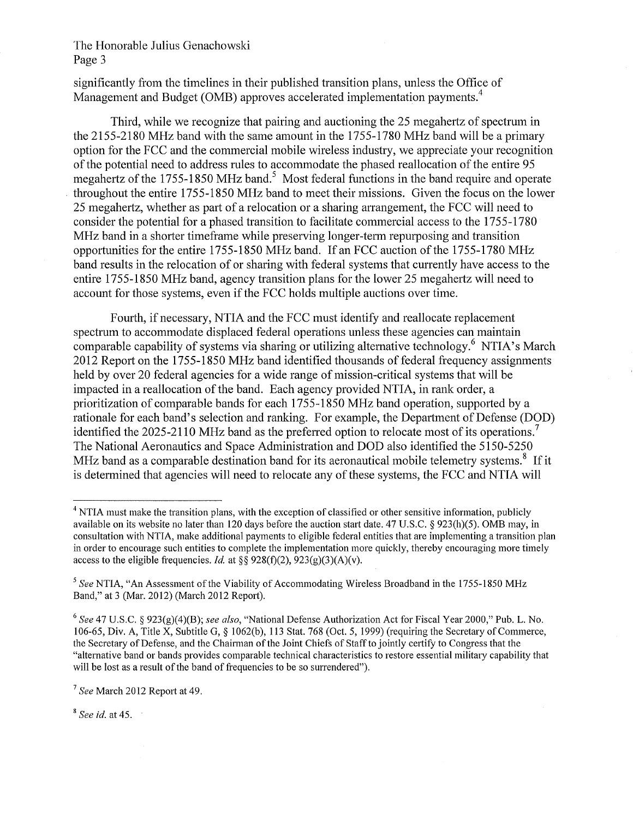## The Honorable Julius Genachowski Page 3

significantly from the timelines in their published transition plans, unless the Office of Management and Budget (OMB) approves accelerated implementation payments.<sup>4</sup>

Third, while we recognize that pairing and auctioning the 25 megahertz of spectrum in the 2155-2180 MHz band with the same amount in the 1755-1780 MHz band will be a primary option for the FCC and the commercial mobile wireless industry, we appreciate your recognition of the potential need to address rules to accommodate the phased reallocation of the entire 95 megahertz of the 1755-1850 MHz band.<sup>5</sup> Most federal functions in the band require and operate throughout the entire 1755-1850 MHz band to meet their missions. Given the focus on the lower 25 megahertz, whether as part of a relocation or a sharing arrangement, the FCC will need to consider the potential for a phased transition to facilitate commercial access to the 1755-1780 MHz band in a shorter timeframe while preserving longer-term repurposing and transition opportunities for the entire 1755-1850 MHz band. If an FCC auction of the 1755-1780 MHz band results in the relocation of or sharing with federal systems that currently have access to the entire 1755-1850 MHz band, agency transition plans for the lower 25 megahertz will need to account for those systems, even if the FCC holds multiple auctions over time.

Fourth, if necessary, NTIA and the FCC must identify and reallocate replacement spectrum to accommodate displaced federal operations unless these agencies can maintain comparable capability of systems via sharing or utilizing alternative technology.<sup>6</sup> NTIA's March 2012 Report on the 1755-1850 MHz band identified thousands of federal frequency assignments held by over 20 federal agencies for a wide range of mission-critical systems that will be impacted in a reallocation of the band. Each agency provided NTIA, in rank order, a prioritization of comparable bands for each 1755-1850 MHz band operation, supported by a rationale for each band's selection and ranking. For example, the Department of Defense (DOD) identified the 2025-2110 MHz band as the preferred option to relocate most of its operations.<sup>7</sup> The National Aeronautics and Space Administration and DOD also identified the 5150-5250 MHz band as a comparable destination band for its aeronautical mobile telemetry systems.<sup>8</sup> If it is determined that agencies will need to relocate any of these systems, the FCC and NTIA will

<sup>8</sup>*See id.* at 45.

<sup>&</sup>lt;sup>4</sup> NTIA must make the transition plans, with the exception of classified or other sensitive information, publicly available on its website no later than 120 days before the auction start date. 47 U.S.C. § 923(h)(5). OMB may, in consultation with NTIA, make additional payments to eligible federal entities that are implementing a transition plan in order to encourage such entities to complete the implementation more quickly, thereby encouraging more timely access to the eligible frequencies. *Id.* at  $\S$ § 928(f)(2), 923(g)(3)(A)(v).

<sup>5</sup>*See* NTIA, "An Assessment of the Viability of Accommodating Wireless Broadband in the 1755-1850 MHz Band," at 3 (Mar. 2012) (March 2012 Report).

<sup>6</sup>*See* 47 U.S.C. § 923(g)(4)(B); *see also,* "National Defense Authorization Act for Fiscal Year 2000," Pub. L. No. 106-65, Div. A, Title X, Subtitle G, § 1062(b), 113 Stat. 768 (Oct. 5, 1999) (requiring the Secretary of Commerce, the Secretary of Defense, and the Chairman of the Joint Chiefs of Staff to jointly certify to Congress that the "alternative band or bands provides comparable technical characteristics to restore essential military capability that will be lost as a result of the band of frequencies to be so surrendered").

<sup>7</sup>*See* March 2012 Report at 49.